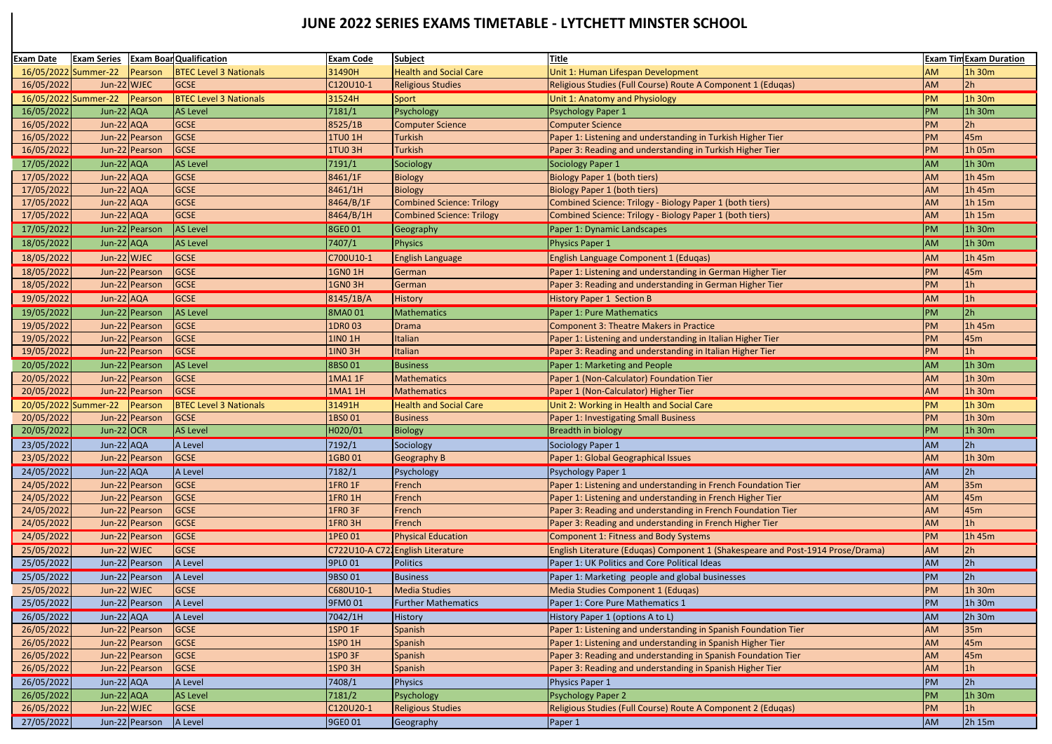| Exam Date            | <b>Exam Series</b> | <b>Exam Boar Qualification</b> | <b>Exam Code</b> | <b>Subject</b>                   | <b>Title</b>                                                                    |           | <b>Exam Tim Exam Duration</b> |
|----------------------|--------------------|--------------------------------|------------------|----------------------------------|---------------------------------------------------------------------------------|-----------|-------------------------------|
| 16/05/2022 Summer-22 | Pearson            | <b>BTEC Level 3 Nationals</b>  | 31490H           | <b>Health and Social Care</b>    | Unit 1: Human Lifespan Development                                              | AM        | 1h 30m                        |
| 16/05/2022           | Jun-22 WJEC        | <b>GCSE</b>                    | C120U10-1        | <b>Religious Studies</b>         | Religious Studies (Full Course) Route A Component 1 (Eduqas)                    | <b>AM</b> | 2h                            |
| 16/05/2022 Summer-22 | Pearson            | <b>BTEC Level 3 Nationals</b>  | 31524H           | Sport                            | Unit 1: Anatomy and Physiology                                                  | <b>PM</b> | 1h 30m                        |
| 16/05/2022           | Jun-22 AQA         | <b>AS Level</b>                | 7181/1           | Psychology                       | <b>Psychology Paper 1</b>                                                       | <b>PM</b> | 1h 30m                        |
| 16/05/2022           | Jun-22 AQA         | GCSE                           | 8525/1B          | <b>Computer Science</b>          | <b>Computer Science</b>                                                         | <b>PM</b> | 2h                            |
| 16/05/2022           | Jun-22 Pearson     | <b>GCSE</b>                    | <b>1TU0 1H</b>   | <b>Turkish</b>                   | Paper 1: Listening and understanding in Turkish Higher Tier                     | <b>PM</b> | 45 <sub>m</sub>               |
| 16/05/2022           | Jun-22 Pearson     | <b>GCSE</b>                    | <b>1TU0 3H</b>   | <b>Turkish</b>                   | Paper 3: Reading and understanding in Turkish Higher Tier                       | <b>PM</b> | 1h 05m                        |
| 17/05/2022           | Jun-22 AQA         | AS Level                       | 7191/1           | Sociology                        | Sociology Paper 1                                                               | <b>AM</b> | $1h$ 30m                      |
| 17/05/2022           | Jun-22 AQA         | GCSE                           | 8461/1F          | <b>Biology</b>                   | <b>Biology Paper 1 (both tiers)</b>                                             | <b>AM</b> | 1h 45m                        |
| 17/05/2022           | Jun-22 AQA         | <b>GCSE</b>                    | 8461/1H          | <b>Biology</b>                   | <b>Biology Paper 1 (both tiers)</b>                                             | <b>AM</b> | 1h 45m                        |
| 17/05/2022           | Jun-22 AQA         | <b>GCSE</b>                    | 8464/B/1F        | <b>Combined Science: Trilogy</b> | Combined Science: Trilogy - Biology Paper 1 (both tiers)                        | AM        | 1h 15m                        |
| 17/05/2022           | Jun-22 AQA         | <b>GCSE</b>                    | 8464/B/1H        | <b>Combined Science: Trilogy</b> | Combined Science: Trilogy - Biology Paper 1 (both tiers)                        | <b>AM</b> | $1h$ 15m                      |
| 17/05/2022           | Jun-22 Pearson     | AS Level                       | 8GE0 01          | Geography                        | Paper 1: Dynamic Landscapes                                                     | PM        | $1h$ 30m                      |
| 18/05/2022           | Jun-22 $AQA$       | AS Level                       | 7407/1           | Physics                          | Physics Paper 1                                                                 | <b>AM</b> | $1h$ 30m                      |
| 18/05/2022           | Jun-22 WJEC        | GCSE                           | C700U10-1        | <b>English Language</b>          | English Language Component 1 (Eduqas)                                           | <b>AM</b> | 1h 45m                        |
|                      |                    |                                |                  |                                  |                                                                                 |           |                               |
| 18/05/2022           | Jun-22 Pearson     | GCSE                           | <b>1GN0 1H</b>   | German                           | Paper 1: Listening and understanding in German Higher Tier                      | PM<br>PM  | 45 <sub>m</sub>               |
| 18/05/2022           | Jun-22 Pearson     | <b>GCSE</b>                    | <b>1GN0 3H</b>   | German                           | Paper 3: Reading and understanding in German Higher Tier                        |           | 1 <sub>h</sub>                |
| 19/05/2022           | Jun-22 $AQA$       | <b>GCSE</b>                    | 8145/1B/A        | <b>History</b>                   | <b>History Paper 1 Section B</b>                                                | <b>AM</b> | 1 <sub>h</sub>                |
| 19/05/2022           | Jun-22 Pearson     | AS Level                       | <b>8MA001</b>    | Mathematics                      | Paper 1: Pure Mathematics                                                       | PM        | 2h                            |
| 19/05/2022           | Jun-22 Pearson     | <b>GCSE</b>                    | 1DR0 03          | <b>Drama</b>                     | Component 3: Theatre Makers in Practice                                         | <b>PM</b> | 1h 45m                        |
| 19/05/2022           | Jun-22 Pearson     | <b>GCSE</b>                    | 1IN0 1H          | Italian                          | Paper 1: Listening and understanding in Italian Higher Tier                     | <b>PM</b> | 45 <sub>m</sub>               |
| 19/05/2022           | Jun-22 Pearson     | <b>GCSE</b>                    | <b>1INO 3H</b>   | Italian                          | Paper 3: Reading and understanding in Italian Higher Tier                       | <b>PM</b> | 1h                            |
| 20/05/2022           | Jun-22 Pearson     | AS Level                       | 8BS001           | <b>Business</b>                  | Paper 1: Marketing and People                                                   | <b>AM</b> | $\ln 30m$                     |
| 20/05/2022           | Jun-22 Pearson     | <b>GCSE</b>                    | <b>1MA1 1F</b>   | <b>Mathematics</b>               | Paper 1 (Non-Calculator) Foundation Tier                                        | <b>AM</b> | $1h$ 30m                      |
| 20/05/2022           | Jun-22 Pearson     | <b>GCSE</b>                    | 1MA1 1H          | <b>Mathematics</b>               | Paper 1 (Non-Calculator) Higher Tier                                            | <b>AM</b> | 1h 30m                        |
| 20/05/2022 Summer-22 | Pearson            | <b>BTEC Level 3 Nationals</b>  | 31491H           | <b>Health and Social Care</b>    | Unit 2: Working in Health and Social Care                                       | <b>PM</b> | $1h$ 30m                      |
| 20/05/2022           | Jun-22 Pearson     | <b>GCSE</b>                    | 1BS001           | <b>Business</b>                  | Paper 1: Investigating Small Business                                           | <b>PM</b> | $1h$ 30m                      |
| 20/05/2022           | Jun-22 $OCR$       | <b>AS Level</b>                | H020/01          | Biology                          | <b>Breadth in biology</b>                                                       | <b>PM</b> | 1h 30m                        |
| 23/05/2022           | $Jun-22$ $AQA$     | A Level                        | 7192/1           | Sociology                        | Sociology Paper 1                                                               | AM        | 2h                            |
| 23/05/2022           | Jun-22 Pearson     | GCSE                           | 1GB001           | <b>Geography B</b>               | Paper 1: Global Geographical Issues                                             | <b>AM</b> | $1h$ 30m                      |
| 24/05/2022           | Jun-22 $AQA$       | A Level                        | 7182/1           | Psychology                       | Psychology Paper 1                                                              | <b>AM</b> | 2h                            |
| 24/05/2022           | Jun-22 Pearson     | <b>GCSE</b>                    | <b>1FRO 1F</b>   | French                           | Paper 1: Listening and understanding in French Foundation Tier                  | <b>AM</b> | 35m                           |
| 24/05/2022           | Jun-22 Pearson     | <b>GCSE</b>                    | 1FR0 1H          | French                           | Paper 1: Listening and understanding in French Higher Tier                      | <b>AM</b> | 45 <sub>m</sub>               |
| 24/05/2022           | Jun-22 Pearson     | <b>GCSE</b>                    | <b>1FRO 3F</b>   | French                           | Paper 3: Reading and understanding in French Foundation Tier                    | <b>AM</b> | 45 <sub>m</sub>               |
| 24/05/2022           | Jun-22 Pearson     | <b>GCSE</b>                    | <b>1FRO 3H</b>   | French                           | Paper 3: Reading and understanding in French Higher Tier                        | <b>AM</b> | 1 <sub>h</sub>                |
| 24/05/2022           | Jun-22 Pearson     | <b>GCSE</b>                    | 1PE0 01          | <b>Physical Education</b>        | Component 1: Fitness and Body Systems                                           | PM        | 1h45m                         |
| 25/05/2022           | Jun-22 WJEC        | <b>GCSE</b>                    |                  | C722U10-A C721English Literature | English Literature (Eduqas) Component 1 (Shakespeare and Post-1914 Prose/Drama) | <b>AM</b> | 2h                            |
| 25/05/2022           | Jun-22 Pearson     | A Level                        | 9PL0 01          | <b>Politics</b>                  | Paper 1: UK Politics and Core Political Ideas                                   | <b>AM</b> | 2h                            |
| 25/05/2022           | Jun-22 Pearson     | A Level                        | 9BS0 01          | Business                         | Paper 1: Marketing people and global businesses                                 | PM        | 2 <sub>h</sub>                |
| 25/05/2022           | Jun-22 WJEC        | <b>GCSE</b>                    | C680U10-1        | <b>Media Studies</b>             | Media Studies Component 1 (Eduqas)                                              | <b>PM</b> | $1h$ 30m                      |
| 25/05/2022           | Jun-22 Pearson     | A Level                        | 9FM0 01          | <b>Further Mathematics</b>       | Paper 1: Core Pure Mathematics 1                                                | PM        | $1h$ 30m                      |
| 26/05/2022           | Jun-22 $AQA$       | A Level                        | 7042/1H          | History                          | History Paper 1 (options A to L)                                                | <b>AM</b> | 2h 30m                        |
| 26/05/2022           | Jun-22 Pearson     | <b>GCSE</b>                    | 1SP0 1F          | Spanish                          | Paper 1: Listening and understanding in Spanish Foundation Tier                 | <b>AM</b> | 35m                           |
| 26/05/2022           | Jun-22 Pearson     | GCSE                           | 1SP0 1H          | Spanish                          | Paper 1: Listening and understanding in Spanish Higher Tier                     | <b>AM</b> | 45 <sub>m</sub>               |
| 26/05/2022           | Jun-22 Pearson     | <b>GCSE</b>                    | <b>1SPO 3F</b>   | Spanish                          | Paper 3: Reading and understanding in Spanish Foundation Tier                   | <b>AM</b> | 45 <sub>m</sub>               |
| 26/05/2022           | Jun-22 Pearson     | <b>GCSE</b>                    | <b>1SPO 3H</b>   | Spanish                          | Paper 3: Reading and understanding in Spanish Higher Tier                       | <b>AM</b> | 1h                            |
| 26/05/2022           | Jun-22 $AQA$       | A Level                        | 7408/1           | Physics                          | Physics Paper 1                                                                 | PM        | 2 <sub>h</sub>                |
| 26/05/2022           | Jun-22 AQA         | <b>AS Level</b>                | 7181/2           | Psychology                       | <b>Psychology Paper 2</b>                                                       | <b>PM</b> | 1h 30m                        |
| 26/05/2022           | Jun-22 WJEC        | <b>GCSE</b>                    | C120U20-1        | <b>Religious Studies</b>         | Religious Studies (Full Course) Route A Component 2 (Eduqas)                    | PM        | 1h                            |
| 27/05/2022           | Jun-22 Pearson     | A Level                        | 9GE0 01          | Geography                        | Paper 1                                                                         | <b>AM</b> | 2h 15m                        |

## **JUNE 2022 SERIES EXAMS TIMETABLE - LYTCHETT MINSTER SCHOOL**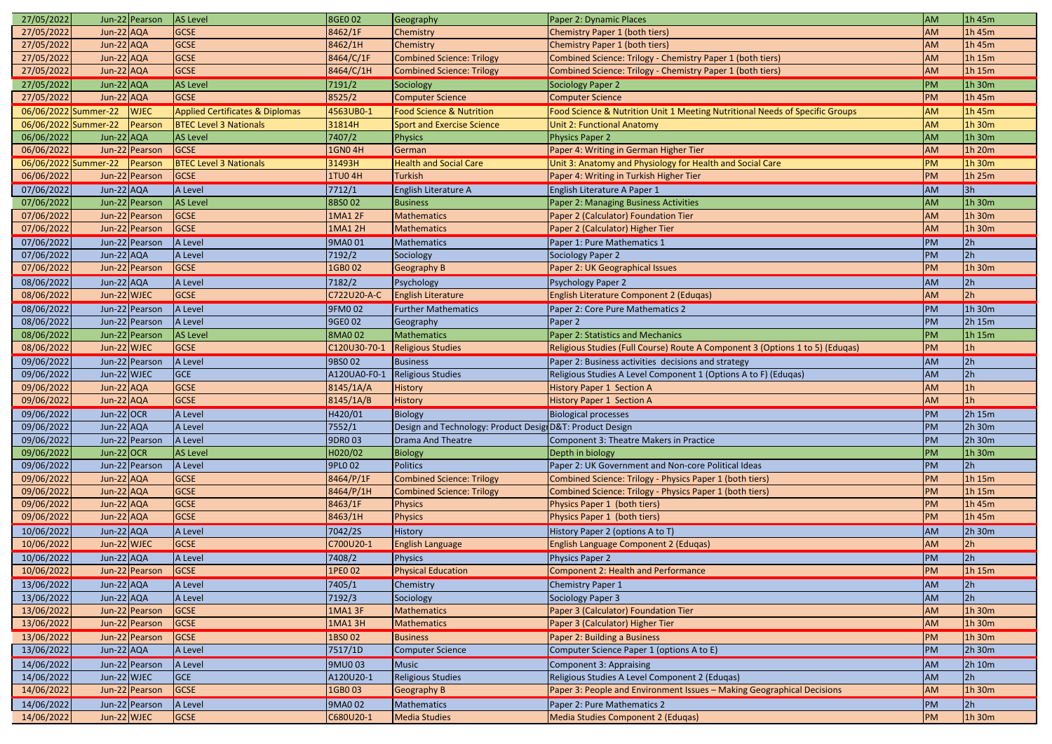| 27/05/2022           |                | Jun-22 Pearson | <b>AS Level</b>                            | 8GE0 02        | Geography                                                | Paper 2: Dynamic Places                                                       | <b>AM</b>       | 1h 45m         |
|----------------------|----------------|----------------|--------------------------------------------|----------------|----------------------------------------------------------|-------------------------------------------------------------------------------|-----------------|----------------|
| 27/05/2022           | $Jun-22$ $AQA$ |                | <b>GCSE</b>                                | 8462/1F        | Chemistry                                                | Chemistry Paper 1 (both tiers)                                                | AM              | 1h 45m         |
| 27/05/2022           | $Jun-22$ $AQA$ |                | <b>GCSE</b>                                | 8462/1H        | Chemistry                                                | Chemistry Paper 1 (both tiers)                                                | <b>AM</b>       | 1h 45m         |
| 27/05/2022           | $Jun-22$ $AQA$ |                | <b>GCSE</b>                                | 8464/C/1F      | <b>Combined Science: Trilogy</b>                         | Combined Science: Trilogy - Chemistry Paper 1 (both tiers)                    | AM              | 1h 15m         |
| 27/05/2022           | Jun-22 AQA     |                | <b>GCSE</b>                                | 8464/C/1H      | Combined Science: Trilogy                                | Combined Science: Trilogy - Chemistry Paper 1 (both tiers)                    | <b>AM</b>       | 1h 15m         |
| 27/05/2022           | Jun-22 $AQA$   |                | <b>AS Level</b>                            | 7191/2         | Sociology                                                | Sociology Paper 2                                                             | <b>PM</b>       | 1h 30m         |
| 27/05/2022           | $Jun-22$ $AQA$ |                | <b>GCSE</b>                                | 8525/2         | Computer Science                                         | <b>Computer Science</b>                                                       | PM              | 1h 45m         |
| 06/06/2022 Summer-22 |                | <b>WJEC</b>    | <b>Applied Certificates &amp; Diplomas</b> | 4563UB0-1      | <b>Food Science &amp; Nutrition</b>                      | Food Science & Nutrition Unit 1 Meeting Nutritional Needs of Specific Groups  | <b>AM</b>       | 1h 45m         |
| 06/06/2022 Summer-22 |                | Pearson        | <b>BTEC Level 3 Nationals</b>              | 31814H         | <b>Sport and Exercise Science</b>                        | <b>Unit 2: Functional Anatomy</b>                                             | <b>AM</b>       | 1h 30m         |
| 06/06/2022           | Jun-22 $AQA$   |                | <b>AS Level</b>                            | 7407/2         | Physics                                                  | <b>Physics Paper 2</b>                                                        | AM              | 1h 30m         |
| 06/06/2022           |                | Jun-22 Pearson | <b>GCSE</b>                                | <b>1GN04H</b>  | German                                                   | Paper 4: Writing in German Higher Tier                                        | <b>AM</b>       | 1h 20m         |
| 06/06/2022 Summer-22 |                | Pearson        | <b>BTEC Level 3 Nationals</b>              | 31493H         | <b>Health and Social Care</b>                            | Unit 3: Anatomy and Physiology for Health and Social Care                     | <b>PM</b>       | 1h 30m         |
| 06/06/2022           |                | Jun-22 Pearson | <b>GCSE</b>                                | <b>1TU04H</b>  | <b>Turkish</b>                                           | Paper 4: Writing in Turkish Higher Tier                                       | <b>PM</b>       | 1h 25m         |
| 07/06/2022           | Jun-22 $AQA$   |                | A Level                                    | 7712/1         | English Literature A                                     | English Literature A Paper 1                                                  | <b>AM</b>       | 3h             |
| 07/06/2022           |                | Jun-22 Pearson | <b>AS Level</b>                            | <b>8BSO 02</b> | <b>Business</b>                                          | Paper 2: Managing Business Activities                                         | <b>AM</b>       | 1h 30m         |
| 07/06/2022           |                | Jun-22 Pearson | <b>GCSE</b>                                | <b>1MA1 2F</b> | Mathematics                                              | Paper 2 (Calculator) Foundation Tier                                          | <b>AM</b>       | 1h 30m         |
| 07/06/2022           |                | Jun-22 Pearson | <b>GCSE</b>                                | <b>1MA1 2H</b> | Mathematics                                              | Paper 2 (Calculator) Higher Tier                                              | <b>AM</b>       | 1h 30m         |
| 07/06/2022           |                | Jun-22 Pearson | A Level                                    | 9MA0 01        | Mathematics                                              | Paper 1: Pure Mathematics 1                                                   | <b>PM</b>       | 2h             |
| 07/06/2022           | Jun-22 AQA     |                | A Level                                    | 7192/2         | Sociology                                                | Sociology Paper 2                                                             | <b>PM</b>       | 2h             |
| 07/06/2022           |                | Jun-22 Pearson | <b>GCSE</b>                                | 1GB0 02        | Geography B                                              | Paper 2: UK Geographical Issues                                               | PM              | $1h$ 30m       |
| 08/06/2022           | Jun-22 $AQA$   |                | A Level                                    | 7182/2         | Psychology                                               | Psychology Paper 2                                                            | <b>AM</b>       | 2h             |
| 08/06/2022           | Jun-22 WJEC    |                | <b>GCSE</b>                                | C722U20-A-C    | <b>English Literature</b>                                | English Literature Component 2 (Eduqas)                                       | <b>AM</b>       | 2h             |
|                      |                |                |                                            |                |                                                          |                                                                               |                 |                |
| 08/06/2022           |                | Jun-22 Pearson | A Level                                    | 9FM0 02        | <b>Further Mathematics</b>                               | Paper 2: Core Pure Mathematics 2                                              | PM              | 1h 30m         |
| 08/06/2022           |                | Jun-22 Pearson | A Level                                    | 9GE0 02        | Geography                                                | Paper 2                                                                       | PM              | 2h 15m         |
| 08/06/2022           |                | Jun-22 Pearson | <b>AS Level</b>                            | <b>8MA002</b>  | Mathematics                                              | Paper 2: Statistics and Mechanics                                             | <b>PM</b><br>PM | 1h 15m         |
| 08/06/2022           | Jun-22 WJEC    |                | <b>GCSE</b>                                | C120U30-70-1   | Religious Studies                                        | Religious Studies (Full Course) Route A Component 3 (Options 1 to 5) (Eduqas) |                 | 1 <sub>h</sub> |
| 09/06/2022           |                | Jun-22 Pearson | A Level                                    | 9BS0 02        | <b>Business</b>                                          | Paper 2: Business activities decisions and strategy                           | <b>AM</b>       | 2h             |
| 09/06/2022           | Jun-22 WJEC    |                | <b>GCE</b>                                 | A120UA0-F0-1   | Religious Studies                                        | Religious Studies A Level Component 1 (Options A to F) (Edugas)               | <b>AM</b>       | 2h             |
| 09/06/2022           | $Jun-22$ $AQA$ |                | <b>GCSE</b>                                | 8145/1A/A      | History                                                  | <b>History Paper 1 Section A</b>                                              | AM              | 1 <sub>h</sub> |
| 09/06/2022           | $Jun-22$ $AQA$ |                | <b>GCSE</b>                                | 8145/1A/B      | <b>History</b>                                           | <b>History Paper 1 Section A</b>                                              | <b>AM</b>       | 1 <sub>h</sub> |
| 09/06/2022           | Jun-22 $OCR$   |                | A Level                                    | H420/01        | Biology                                                  | <b>Biological processes</b>                                                   | PM              | 2h 15m         |
| 09/06/2022           | Jun-22 $AQA$   |                | A Level                                    | 7552/1         | Design and Technology: Product Desig D&T: Product Design |                                                                               | <b>PM</b>       | 2h 30m         |
| 09/06/2022           |                | Jun-22 Pearson | A Level                                    | 9DR0 03        | Drama And Theatre                                        | Component 3: Theatre Makers in Practice                                       | <b>PM</b>       | 2h 30m         |
| 09/06/2022           | Jun-22 $OCR$   |                | <b>AS Level</b>                            | H020/02        | <b>Biology</b>                                           | Depth in biology                                                              | PM              | 1h 30m         |
| 09/06/2022           |                | Jun-22 Pearson | A Level                                    | 9PLO 02        | Politics                                                 | Paper 2: UK Government and Non-core Political Ideas                           | <b>PM</b>       | 2h             |
| 09/06/2022           | $Jun-22$ $AQA$ |                | <b>GCSE</b>                                | 8464/P/1F      | <b>Combined Science: Trilogy</b>                         | Combined Science: Trilogy - Physics Paper 1 (both tiers)                      | PM              | 1h 15m         |
| 09/06/2022           | $Jun-22$ $AQA$ |                | <b>GCSE</b>                                | 8464/P/1H      | <b>Combined Science: Trilogy</b>                         | Combined Science: Trilogy - Physics Paper 1 (both tiers)                      | <b>PM</b>       | 1h 15m         |
| 09/06/2022           | $Jun-22$ $AQA$ |                | <b>GCSE</b>                                | 8463/1F        | Physics                                                  | Physics Paper 1 (both tiers)                                                  | <b>PM</b>       | 1h 45m         |
| 09/06/2022           | $Jun-22$ $AQA$ |                | <b>GCSE</b>                                | 8463/1H        | Physics                                                  | Physics Paper 1 (both tiers)                                                  | PM              | 1h 45m         |
| 10/06/2022           | Jun-22 AQA     |                | A Level                                    | 7042/2S        | History                                                  | History Paper 2 (options A to T)                                              | <b>AM</b>       | 2h 30m         |
| 10/06/2022           | Jun-22 WJEC    |                | <b>GCSE</b>                                | C700U20-1      | <b>English Language</b>                                  | English Language Component 2 (Eduqas)                                         | <b>AM</b>       | 2h             |
| 10/06/2022           | Jun-22 $AQA$   |                | A Level                                    | 7408/2         | Physics                                                  | Physics Paper 2                                                               | PM              | 2h             |
| 10/06/2022           |                | Jun-22 Pearson | <b>GCSE</b>                                | 1PE0 02        | <b>Physical Education</b>                                | <b>Component 2: Health and Performance</b>                                    | PM              | 1h 15m         |
| 13/06/2022           | Jun-22 AQA     |                | A Level                                    | 7405/1         | Chemistry                                                | <b>Chemistry Paper 1</b>                                                      | <b>AM</b>       | 2h             |
| 13/06/2022           | Jun-22 $AQA$   |                | A Level                                    | 7192/3         | Sociology                                                | Sociology Paper 3                                                             | <b>AM</b>       | 2h             |
| 13/06/2022           |                | Jun-22 Pearson | <b>GCSE</b>                                | <b>1MA1 3F</b> | Mathematics                                              | Paper 3 (Calculator) Foundation Tier                                          | <b>AM</b>       | 1h 30m         |
| 13/06/2022           |                | Jun-22 Pearson | <b>GCSE</b>                                | <b>1MA13H</b>  | Mathematics                                              | Paper 3 (Calculator) Higher Tier                                              | <b>AM</b>       | 1h 30m         |
| 13/06/2022           |                | Jun-22 Pearson | <b>GCSE</b>                                | 1BS0 02        | <b>Business</b>                                          | Paper 2: Building a Business                                                  | PM              | 1h 30m         |
| 13/06/2022           | Jun-22 AQA     |                | A Level                                    | 7517/1D        | Computer Science                                         | Computer Science Paper 1 (options A to E)                                     | <b>PM</b>       | 2h 30m         |
| 14/06/2022           |                | Jun-22 Pearson | A Level                                    | 9MU003         | Music                                                    | Component 3: Appraising                                                       | <b>AM</b>       | 2h 10m         |
| 14/06/2022           | Jun-22 WJEC    |                | <b>GCE</b>                                 | A120U20-1      | Religious Studies                                        | Religious Studies A Level Component 2 (Eduqas)                                | <b>AM</b>       | 2h             |
| 14/06/2022           |                | Jun-22 Pearson | <b>GCSE</b>                                | 1GB0 03        | Geography B                                              | Paper 3: People and Environment Issues - Making Geographical Decisions        | <b>AM</b>       | 1h 30m         |
| 14/06/2022           |                | Jun-22 Pearson | A Level                                    | 9MA0 02        | Mathematics                                              | Paper 2: Pure Mathematics 2                                                   | PM              | 2h             |
| 14/06/2022           | Jun-22 WJEC    |                | <b>GCSE</b>                                | C680U20-1      | Media Studies                                            | Media Studies Component 2 (Edugas)                                            | PM              | 1h 30m         |